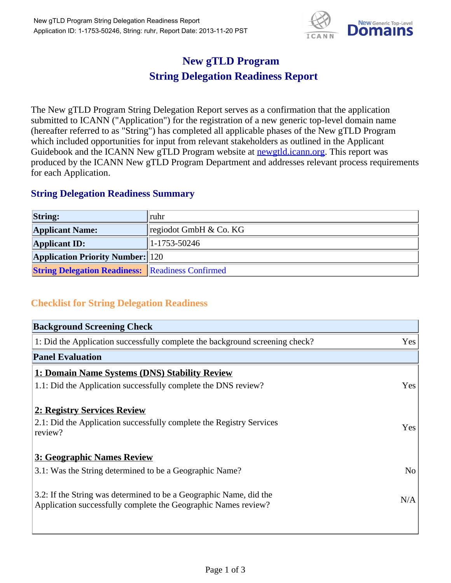

## **New gTLD Program String Delegation Readiness Report**

The New gTLD Program String Delegation Report serves as a confirmation that the application submitted to ICANN ("Application") for the registration of a new generic top-level domain name (hereafter referred to as "String") has completed all applicable phases of the New gTLD Program which included opportunities for input from relevant stakeholders as outlined in the Applicant Guidebook and the ICANN New gTLD Program website at **newgtld.jcann.org**. This report was produced by the ICANN New gTLD Program Department and addresses relevant process requirements for each Application.

## **String Delegation Readiness Summary**

| <b>String:</b>                                          | $\  \text{ruhr}$                   |
|---------------------------------------------------------|------------------------------------|
| <b>Applicant Name:</b>                                  | $\parallel$ regiodot GmbH & Co. KG |
| <b>Applicant ID:</b>                                    | $\parallel$ 1-1753-50246           |
| <b>Application Priority Number:</b> 120                 |                                    |
| <b>String Delegation Readiness:</b> Readiness Confirmed |                                    |

## **Checklist for String Delegation Readiness**

| <b>Background Screening Check</b>                                               |                |  |
|---------------------------------------------------------------------------------|----------------|--|
| 1: Did the Application successfully complete the background screening check?    | Yes            |  |
| <b>Panel Evaluation</b>                                                         |                |  |
| 1: Domain Name Systems (DNS) Stability Review                                   |                |  |
| 1.1: Did the Application successfully complete the DNS review?                  | Yes            |  |
|                                                                                 |                |  |
| 2: Registry Services Review                                                     |                |  |
| 2.1: Did the Application successfully complete the Registry Services<br>review? | <b>Yes</b>     |  |
|                                                                                 |                |  |
| 3: Geographic Names Review                                                      |                |  |
| 3.1: Was the String determined to be a Geographic Name?                         | N <sub>o</sub> |  |
| 3.2: If the String was determined to be a Geographic Name, did the              |                |  |
| Application successfully complete the Geographic Names review?                  | N/A            |  |
|                                                                                 |                |  |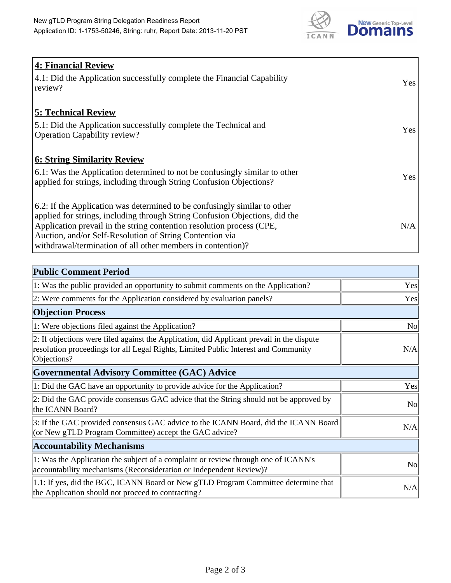

| <b>4: Financial Review</b><br>4.1: Did the Application successfully complete the Financial Capability<br>review?                                                                                                                                                                                                                                             | Yes |
|--------------------------------------------------------------------------------------------------------------------------------------------------------------------------------------------------------------------------------------------------------------------------------------------------------------------------------------------------------------|-----|
| <b>5: Technical Review</b><br>5.1: Did the Application successfully complete the Technical and<br><b>Operation Capability review?</b>                                                                                                                                                                                                                        | Yes |
| <b>6: String Similarity Review</b><br>6.1: Was the Application determined to not be confusingly similar to other<br>applied for strings, including through String Confusion Objections?                                                                                                                                                                      | Yes |
| 6.2: If the Application was determined to be confusingly similar to other<br>applied for strings, including through String Confusion Objections, did the<br>Application prevail in the string contention resolution process (CPE,<br>Auction, and/or Self-Resolution of String Contention via<br>withdrawal/termination of all other members in contention)? | N/A |

| <b>Public Comment Period</b>                                                                                                                                                                   |                |
|------------------------------------------------------------------------------------------------------------------------------------------------------------------------------------------------|----------------|
| 1: Was the public provided an opportunity to submit comments on the Application?                                                                                                               | Yes            |
| 2: Were comments for the Application considered by evaluation panels?                                                                                                                          | Yes            |
| <b>Objection Process</b>                                                                                                                                                                       |                |
| 1: Were objections filed against the Application?                                                                                                                                              | <b>No</b>      |
| 2: If objections were filed against the Application, did Applicant prevail in the dispute<br>resolution proceedings for all Legal Rights, Limited Public Interest and Community<br>Objections? | N/A            |
| <b>Governmental Advisory Committee (GAC) Advice</b>                                                                                                                                            |                |
| 1: Did the GAC have an opportunity to provide advice for the Application?                                                                                                                      | Yes            |
| 2: Did the GAC provide consensus GAC advice that the String should not be approved by<br>the ICANN Board?                                                                                      | N <sub>o</sub> |
| 3: If the GAC provided consensus GAC advice to the ICANN Board, did the ICANN Board<br>(or New gTLD Program Committee) accept the GAC advice?                                                  | N/A            |
| <b>Accountability Mechanisms</b>                                                                                                                                                               |                |
| 1: Was the Application the subject of a complaint or review through one of ICANN's<br>accountability mechanisms (Reconsideration or Independent Review)?                                       | N <sub>0</sub> |
| 1.1: If yes, did the BGC, ICANN Board or New gTLD Program Committee determine that<br>the Application should not proceed to contracting?                                                       | N/A            |